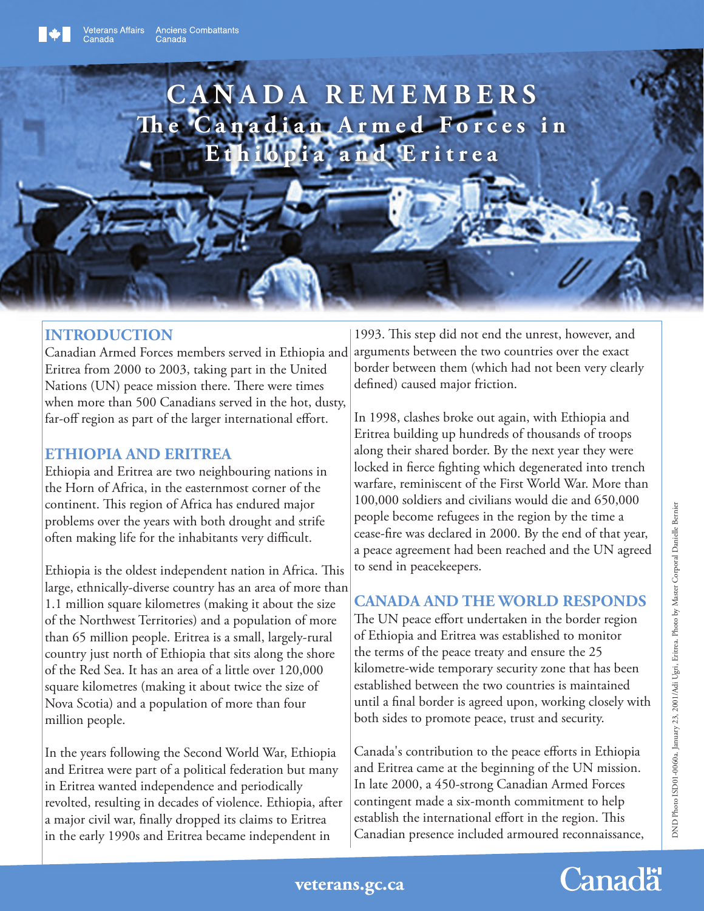

## **INTRODUCTION**

Canadian Armed Forces members served in Ethiopia and Eritrea from 2000 to 2003, taking part in the United Nations (UN) peace mission there. There were times when more than 500 Canadians served in the hot, dusty, far-off region as part of the larger international effort.

## **ETHIOPIA AND ERITREA**

Ethiopia and Eritrea are two neighbouring nations in the Horn of Africa, in the easternmost corner of the continent. This region of Africa has endured major problems over the years with both drought and strife often making life for the inhabitants very difficult.

Ethiopia is the oldest independent nation in Africa. This large, ethnically-diverse country has an area of more than 1.1 million square kilometres (making it about the size of the Northwest Territories) and a population of more than 65 million people. Eritrea is a small, largely-rural country just north of Ethiopia that sits along the shore of the Red Sea. It has an area of a little over 120,000 square kilometres (making it about twice the size of Nova Scotia) and a population of more than four million people.

In the years following the Second World War, Ethiopia and Eritrea were part of a political federation but many in Eritrea wanted independence and periodically revolted, resulting in decades of violence. Ethiopia, after a major civil war, finally dropped its claims to Eritrea in the early 1990s and Eritrea became independent in

1993. This step did not end the unrest, however, and arguments between the two countries over the exact border between them (which had not been very clearly defined) caused major friction.

In 1998, clashes broke out again, with Ethiopia and Eritrea building up hundreds of thousands of troops along their shared border. By the next year they were locked in fierce fighting which degenerated into trench warfare, reminiscent of the First World War. More than 100,000 soldiers and civilians would die and 650,000 people become refugees in the region by the time a cease-fire was declared in 2000. By the end of that year, a peace agreement had been reached and the UN agreed to send in peacekeepers.

## **CANADA AND THE WORLD RESPONDS**

The UN peace effort undertaken in the border region of Ethiopia and Eritrea was established to monitor the terms of the peace treaty and ensure the 25 kilometre-wide temporary security zone that has been established between the two countries is maintained until a final border is agreed upon, working closely with both sides to promote peace, trust and security.

Canada's contribution to the peace efforts in Ethiopia and Eritrea came at the beginning of the UN mission. In late 2000, a 450-strong Canadian Armed Forces contingent made a six-month commitment to help establish the international effort in the region. This Canadian presence included armoured reconnaissance,

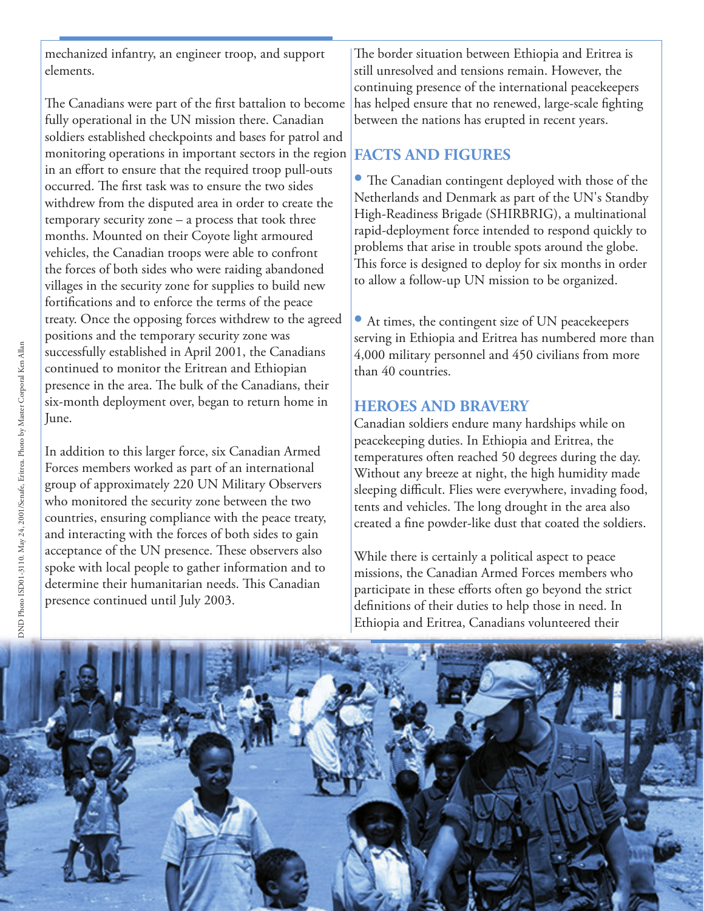mechanized infantry, an engineer troop, and support elements.

The Canadians were part of the first battalion to become fully operational in the UN mission there. Canadian soldiers established checkpoints and bases for patrol and monitoring operations in important sectors in the region in an effort to ensure that the required troop pull-outs occurred. The first task was to ensure the two sides withdrew from the disputed area in order to create the temporary security zone – a process that took three months. Mounted on their Coyote light armoured vehicles, the Canadian troops were able to confront the forces of both sides who were raiding abandoned villages in the security zone for supplies to build new fortifications and to enforce the terms of the peace treaty. Once the opposing forces withdrew to the agreed positions and the temporary security zone was successfully established in April 2001, the Canadians continued to monitor the Eritrean and Ethiopian presence in the area. The bulk of the Canadians, their six-month deployment over, began to return home in June.

In addition to this larger force, six Canadian Armed Forces members worked as part of an international group of approximately 220 UN Military Observers who monitored the security zone between the two countries, ensuring compliance with the peace treaty, and interacting with the forces of both sides to gain acceptance of the UN presence. These observers also spoke with local people to gather information and to determine their humanitarian needs. This Canadian presence continued until July 2003.

The border situation between Ethiopia and Eritrea is still unresolved and tensions remain. However, the continuing presence of the international peacekeepers has helped ensure that no renewed, large-scale fighting between the nations has erupted in recent years.

#### **FACTS AND FIGURES**

• The Canadian contingent deployed with those of the Netherlands and Denmark as part of the UN's Standby High-Readiness Brigade (SHIRBRIG), a multinational rapid-deployment force intended to respond quickly to problems that arise in trouble spots around the globe. This force is designed to deploy for six months in order to allow a follow-up UN mission to be organized.

**•** At times, the contingent size of UN peacekeepers serving in Ethiopia and Eritrea has numbered more than 4,000 military personnel and 450 civilians from more than 40 countries.

### **HEROES AND BRAVERY**

Canadian soldiers endure many hardships while on peacekeeping duties. In Ethiopia and Eritrea, the temperatures often reached 50 degrees during the day. Without any breeze at night, the high humidity made sleeping difficult. Flies were everywhere, invading food, tents and vehicles. The long drought in the area also created a fine powder-like dust that coated the soldiers.

While there is certainly a political aspect to peace missions, the Canadian Armed Forces members who participate in these efforts often go beyond the strict definitions of their duties to help those in need. In Ethiopia and Eritrea, Canadians volunteered their